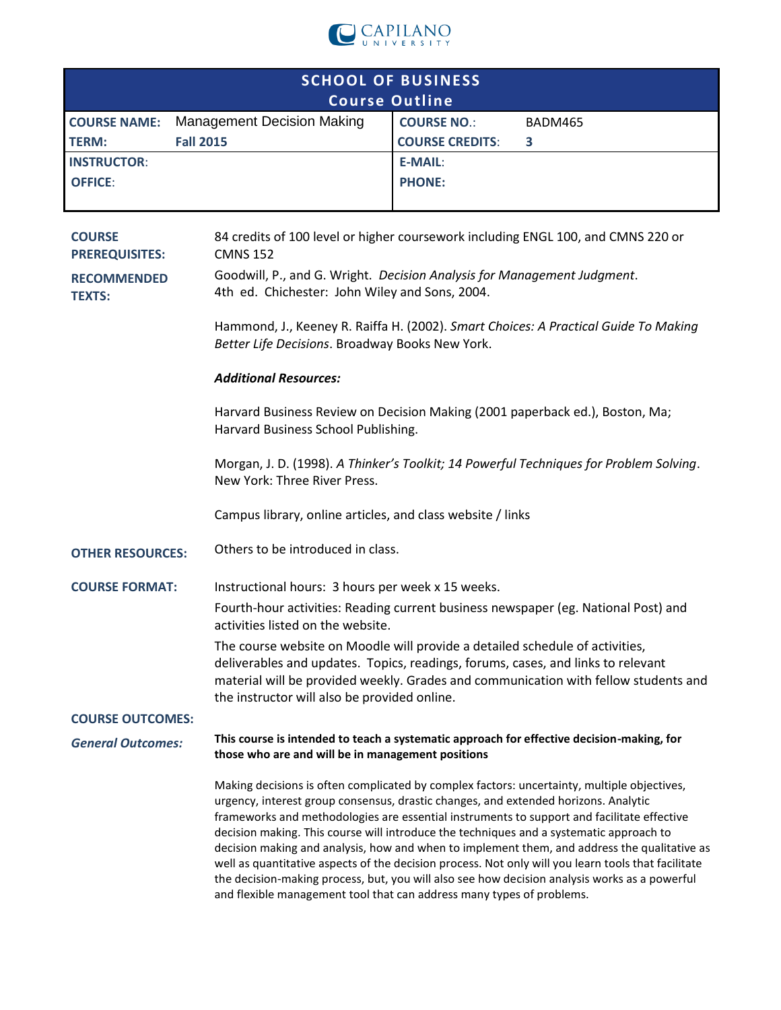

| <b>SCHOOL OF BUSINESS</b>              |                                                                                                                                                                                                                                                                                                                                                                                                                                                      |                                                                                                                                        |                                                                                                                                                                                                                                                                                                      |  |  |  |  |
|----------------------------------------|------------------------------------------------------------------------------------------------------------------------------------------------------------------------------------------------------------------------------------------------------------------------------------------------------------------------------------------------------------------------------------------------------------------------------------------------------|----------------------------------------------------------------------------------------------------------------------------------------|------------------------------------------------------------------------------------------------------------------------------------------------------------------------------------------------------------------------------------------------------------------------------------------------------|--|--|--|--|
| <b>Course Outline</b>                  |                                                                                                                                                                                                                                                                                                                                                                                                                                                      |                                                                                                                                        |                                                                                                                                                                                                                                                                                                      |  |  |  |  |
| <b>COURSE NAME:</b>                    | <b>Management Decision Making</b>                                                                                                                                                                                                                                                                                                                                                                                                                    | <b>COURSE NO.:</b>                                                                                                                     | BADM465                                                                                                                                                                                                                                                                                              |  |  |  |  |
| <b>TERM:</b>                           | <b>Fall 2015</b>                                                                                                                                                                                                                                                                                                                                                                                                                                     | <b>COURSE CREDITS:</b>                                                                                                                 | 3                                                                                                                                                                                                                                                                                                    |  |  |  |  |
| <b>INSTRUCTOR:</b>                     |                                                                                                                                                                                                                                                                                                                                                                                                                                                      | <b>E-MAIL:</b>                                                                                                                         |                                                                                                                                                                                                                                                                                                      |  |  |  |  |
| <b>OFFICE:</b>                         |                                                                                                                                                                                                                                                                                                                                                                                                                                                      | <b>PHONE:</b>                                                                                                                          |                                                                                                                                                                                                                                                                                                      |  |  |  |  |
|                                        |                                                                                                                                                                                                                                                                                                                                                                                                                                                      |                                                                                                                                        |                                                                                                                                                                                                                                                                                                      |  |  |  |  |
| <b>COURSE</b><br><b>PREREQUISITES:</b> | 84 credits of 100 level or higher coursework including ENGL 100, and CMNS 220 or<br><b>CMNS 152</b>                                                                                                                                                                                                                                                                                                                                                  |                                                                                                                                        |                                                                                                                                                                                                                                                                                                      |  |  |  |  |
| <b>RECOMMENDED</b><br><b>TEXTS:</b>    |                                                                                                                                                                                                                                                                                                                                                                                                                                                      | Goodwill, P., and G. Wright. Decision Analysis for Management Judgment.<br>4th ed. Chichester: John Wiley and Sons, 2004.              |                                                                                                                                                                                                                                                                                                      |  |  |  |  |
|                                        |                                                                                                                                                                                                                                                                                                                                                                                                                                                      | Hammond, J., Keeney R. Raiffa H. (2002). Smart Choices: A Practical Guide To Making<br>Better Life Decisions. Broadway Books New York. |                                                                                                                                                                                                                                                                                                      |  |  |  |  |
|                                        | <b>Additional Resources:</b>                                                                                                                                                                                                                                                                                                                                                                                                                         |                                                                                                                                        |                                                                                                                                                                                                                                                                                                      |  |  |  |  |
|                                        | Harvard Business Review on Decision Making (2001 paperback ed.), Boston, Ma;<br>Harvard Business School Publishing.                                                                                                                                                                                                                                                                                                                                  |                                                                                                                                        |                                                                                                                                                                                                                                                                                                      |  |  |  |  |
|                                        | New York: Three River Press.                                                                                                                                                                                                                                                                                                                                                                                                                         | Morgan, J. D. (1998). A Thinker's Toolkit; 14 Powerful Techniques for Problem Solving.                                                 |                                                                                                                                                                                                                                                                                                      |  |  |  |  |
|                                        | Campus library, online articles, and class website / links                                                                                                                                                                                                                                                                                                                                                                                           |                                                                                                                                        |                                                                                                                                                                                                                                                                                                      |  |  |  |  |
| <b>OTHER RESOURCES:</b>                | Others to be introduced in class.                                                                                                                                                                                                                                                                                                                                                                                                                    |                                                                                                                                        |                                                                                                                                                                                                                                                                                                      |  |  |  |  |
| <b>COURSE FORMAT:</b>                  | Instructional hours: 3 hours per week x 15 weeks.                                                                                                                                                                                                                                                                                                                                                                                                    |                                                                                                                                        |                                                                                                                                                                                                                                                                                                      |  |  |  |  |
|                                        | Fourth-hour activities: Reading current business newspaper (eg. National Post) and<br>activities listed on the website.                                                                                                                                                                                                                                                                                                                              |                                                                                                                                        |                                                                                                                                                                                                                                                                                                      |  |  |  |  |
|                                        | The course website on Moodle will provide a detailed schedule of activities,<br>deliverables and updates. Topics, readings, forums, cases, and links to relevant<br>the instructor will also be provided online.                                                                                                                                                                                                                                     |                                                                                                                                        | material will be provided weekly. Grades and communication with fellow students and                                                                                                                                                                                                                  |  |  |  |  |
| <b>COURSE OUTCOMES:</b>                |                                                                                                                                                                                                                                                                                                                                                                                                                                                      |                                                                                                                                        |                                                                                                                                                                                                                                                                                                      |  |  |  |  |
| <b>General Outcomes:</b>               | This course is intended to teach a systematic approach for effective decision-making, for<br>those who are and will be in management positions                                                                                                                                                                                                                                                                                                       |                                                                                                                                        |                                                                                                                                                                                                                                                                                                      |  |  |  |  |
|                                        | Making decisions is often complicated by complex factors: uncertainty, multiple objectives,<br>urgency, interest group consensus, drastic changes, and extended horizons. Analytic<br>frameworks and methodologies are essential instruments to support and facilitate effective<br>decision making. This course will introduce the techniques and a systematic approach to<br>and flexible management tool that can address many types of problems. |                                                                                                                                        | decision making and analysis, how and when to implement them, and address the qualitative as<br>well as quantitative aspects of the decision process. Not only will you learn tools that facilitate<br>the decision-making process, but, you will also see how decision analysis works as a powerful |  |  |  |  |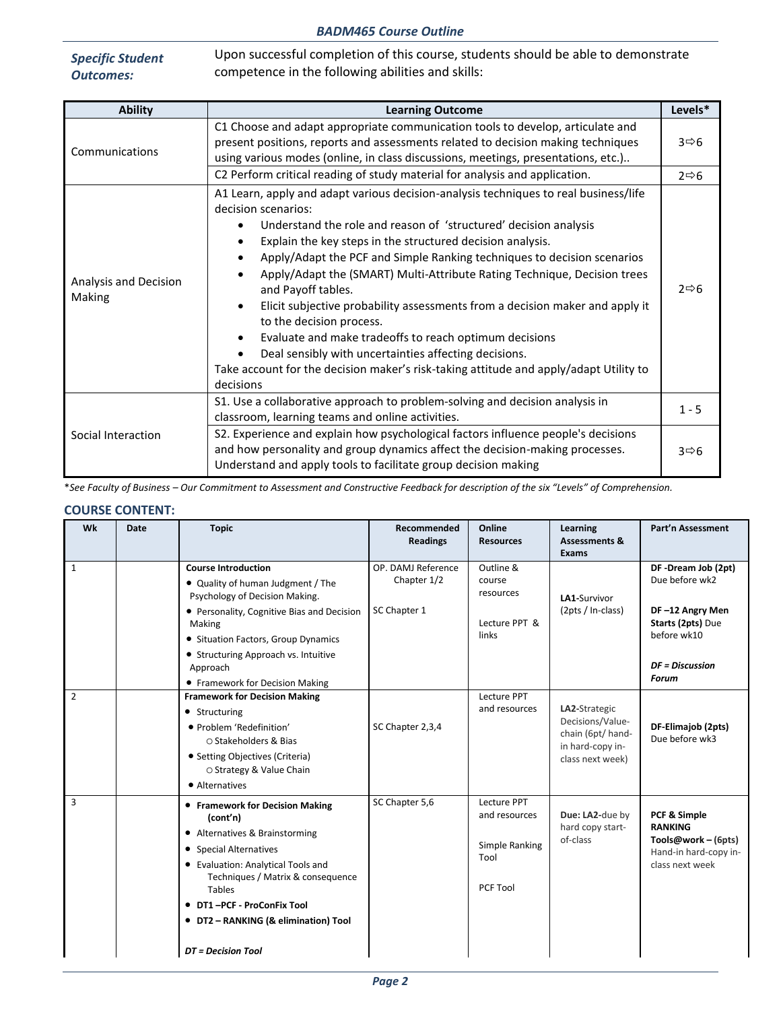## *BADM465 Course Outline*

# *Specific Student Outcomes:*

Upon successful completion of this course, students should be able to demonstrate competence in the following abilities and skills:

| <b>Ability</b>                  | <b>Learning Outcome</b>                                                                                                                                                                                                                                                                                                                                                                                                                                                                                                                                                                                                                                                                                                                                         | Levels*                  |
|---------------------------------|-----------------------------------------------------------------------------------------------------------------------------------------------------------------------------------------------------------------------------------------------------------------------------------------------------------------------------------------------------------------------------------------------------------------------------------------------------------------------------------------------------------------------------------------------------------------------------------------------------------------------------------------------------------------------------------------------------------------------------------------------------------------|--------------------------|
| Communications                  | C1 Choose and adapt appropriate communication tools to develop, articulate and<br>present positions, reports and assessments related to decision making techniques<br>using various modes (online, in class discussions, meetings, presentations, etc.)<br>C2 Perform critical reading of study material for analysis and application.                                                                                                                                                                                                                                                                                                                                                                                                                          | 3⇒6<br>$2 \Rightarrow 6$ |
| Analysis and Decision<br>Making | A1 Learn, apply and adapt various decision-analysis techniques to real business/life<br>decision scenarios:<br>Understand the role and reason of 'structured' decision analysis<br>Explain the key steps in the structured decision analysis.<br>Apply/Adapt the PCF and Simple Ranking techniques to decision scenarios<br>Apply/Adapt the (SMART) Multi-Attribute Rating Technique, Decision trees<br>and Payoff tables.<br>Elicit subjective probability assessments from a decision maker and apply it<br>to the decision process.<br>Evaluate and make tradeoffs to reach optimum decisions<br>Deal sensibly with uncertainties affecting decisions.<br>Take account for the decision maker's risk-taking attitude and apply/adapt Utility to<br>decisions | 2⇔6                      |
|                                 | S1. Use a collaborative approach to problem-solving and decision analysis in<br>classroom, learning teams and online activities.                                                                                                                                                                                                                                                                                                                                                                                                                                                                                                                                                                                                                                | $1 - 5$                  |
| Social Interaction              | S2. Experience and explain how psychological factors influence people's decisions<br>and how personality and group dynamics affect the decision-making processes.<br>Understand and apply tools to facilitate group decision making                                                                                                                                                                                                                                                                                                                                                                                                                                                                                                                             | $3\Rightarrow 6$         |

\**See Faculty of Business – Our Commitment to Assessment and Constructive Feedback for description of the six "Levels" of Comprehension.*

## **COURSE CONTENT:**

| Wk             | Date | <b>Topic</b>                                                                                                                                                                                                                                                                                           | Recommended<br><b>Readings</b>                    | Online<br><b>Resources</b>                                         | Learning<br><b>Assessments &amp;</b><br><b>Exams</b>                                           | Part'n Assessment                                                                                                                     |
|----------------|------|--------------------------------------------------------------------------------------------------------------------------------------------------------------------------------------------------------------------------------------------------------------------------------------------------------|---------------------------------------------------|--------------------------------------------------------------------|------------------------------------------------------------------------------------------------|---------------------------------------------------------------------------------------------------------------------------------------|
| $\mathbf{1}$   |      | <b>Course Introduction</b><br>• Quality of human Judgment / The<br>Psychology of Decision Making.<br>• Personality, Cognitive Bias and Decision<br>Making<br>• Situation Factors, Group Dynamics<br>• Structuring Approach vs. Intuitive<br>Approach<br>• Framework for Decision Making                | OP. DAMJ Reference<br>Chapter 1/2<br>SC Chapter 1 | Outline &<br>course<br>resources<br>Lecture PPT &<br>links         | LA1-Survivor<br>(2pts / In-class)                                                              | DF-Dream Job (2pt)<br>Due before wk2<br>DF-12 Angry Men<br>Starts (2pts) Due<br>before wk10<br><b>DF</b> = Discussion<br><b>Forum</b> |
| $\overline{2}$ |      | <b>Framework for Decision Making</b><br>• Structuring<br>· Problem 'Redefinition'<br>○ Stakeholders & Bias<br>• Setting Objectives (Criteria)<br>O Strategy & Value Chain<br>• Alternatives                                                                                                            | SC Chapter 2,3,4                                  | Lecture PPT<br>and resources                                       | LA2-Strategic<br>Decisions/Value-<br>chain (6pt/ hand-<br>in hard-copy in-<br>class next week) | DF-Elimajob (2pts)<br>Due before wk3                                                                                                  |
| 3              |      | • Framework for Decision Making<br>(cont'n)<br>• Alternatives & Brainstorming<br>• Special Alternatives<br>• Evaluation: Analytical Tools and<br>Techniques / Matrix & consequence<br><b>Tables</b><br>• DT1-PCF - ProConFix Tool<br>• DT2 - RANKING (& elimination) Tool<br><b>DT</b> = Decision Tool | SC Chapter 5,6                                    | Lecture PPT<br>and resources<br>Simple Ranking<br>Tool<br>PCF Tool | Due: LA2-due by<br>hard copy start-<br>of-class                                                | PCF & Simple<br><b>RANKING</b><br>Tools@work - (6pts)<br>Hand-in hard-copy in-<br>class next week                                     |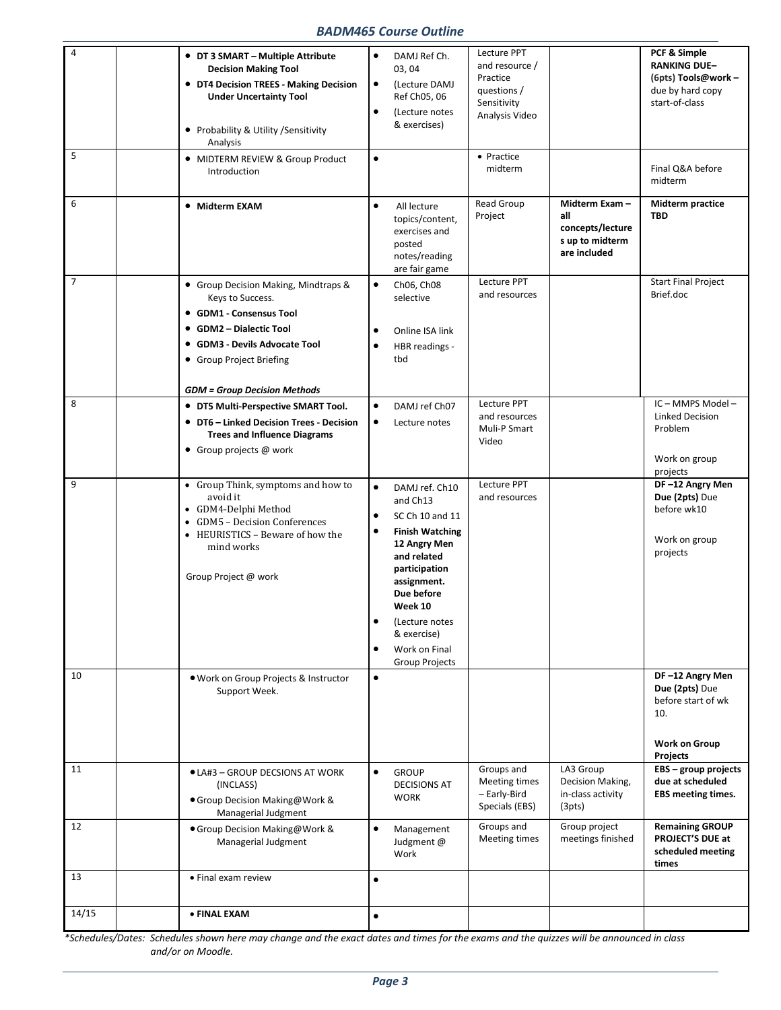## *BADM465 Course Outline*

| $\overline{4}$ | • DT 3 SMART - Multiple Attribute<br><b>Decision Making Tool</b><br>• DT4 Decision TREES - Making Decision<br><b>Under Uncertainty Tool</b><br>• Probability & Utility / Sensitivity<br>Analysis                   | DAMJ Ref Ch.<br>$\bullet$<br>03,04<br>$\bullet$<br>(Lecture DAMJ<br>Ref Ch05, 06<br>(Lecture notes<br>$\bullet$<br>& exercises)                                                                                                                                                                | Lecture PPT<br>and resource /<br>Practice<br>questions /<br>Sensitivity<br>Analysis Video |                                                                              | PCF & Simple<br><b>RANKING DUE-</b><br>(6pts) Tools@work -<br>due by hard copy<br>start-of-class          |
|----------------|--------------------------------------------------------------------------------------------------------------------------------------------------------------------------------------------------------------------|------------------------------------------------------------------------------------------------------------------------------------------------------------------------------------------------------------------------------------------------------------------------------------------------|-------------------------------------------------------------------------------------------|------------------------------------------------------------------------------|-----------------------------------------------------------------------------------------------------------|
| 5              | • MIDTERM REVIEW & Group Product<br>Introduction                                                                                                                                                                   | $\bullet$                                                                                                                                                                                                                                                                                      | • Practice<br>midterm                                                                     |                                                                              | Final Q&A before<br>midterm                                                                               |
| 6              | • Midterm EXAM                                                                                                                                                                                                     | $\bullet$<br>All lecture<br>topics/content,<br>exercises and<br>posted<br>notes/reading<br>are fair game                                                                                                                                                                                       | Read Group<br>Project                                                                     | Midterm Exam -<br>all<br>concepts/lecture<br>s up to midterm<br>are included | <b>Midterm practice</b><br><b>TBD</b>                                                                     |
| $\overline{7}$ | • Group Decision Making, Mindtraps &<br>Keys to Success.<br>• GDM1 - Consensus Tool<br>• GDM2 - Dialectic Tool<br>• GDM3 - Devils Advocate Tool<br>• Group Project Briefing<br><b>GDM = Group Decision Methods</b> | $\bullet$<br>Ch06, Ch08<br>selective<br>Online ISA link<br>HBR readings -<br>$\bullet$<br>tbd                                                                                                                                                                                                  | Lecture PPT<br>and resources                                                              |                                                                              | <b>Start Final Project</b><br>Brief.doc                                                                   |
| 8              | • DT5 Multi-Perspective SMART Tool.<br>• DT6 - Linked Decision Trees - Decision<br><b>Trees and Influence Diagrams</b><br>• Group projects @ work                                                                  | $\bullet$<br>DAMJ ref Ch07<br>$\bullet$<br>Lecture notes                                                                                                                                                                                                                                       | Lecture PPT<br>and resources<br>Muli-P Smart<br>Video                                     |                                                                              | IC-MMPS Model-<br><b>Linked Decision</b><br>Problem<br>Work on group<br>projects                          |
| 9              | • Group Think, symptoms and how to<br>avoid it<br>• GDM4-Delphi Method<br>• GDM5 - Decision Conferences<br>• HEURISTICS - Beware of how the<br>mind works<br>Group Project @ work                                  | $\bullet$<br>DAMJ ref. Ch10<br>and Ch13<br>SC Ch 10 and 11<br>$\bullet$<br><b>Finish Watching</b><br>$\bullet$<br>12 Angry Men<br>and related<br>participation<br>assignment.<br>Due before<br>Week 10<br>(Lecture notes<br>& exercise)<br>Work on Final<br>$\bullet$<br><b>Group Projects</b> | Lecture PPT<br>and resources                                                              |                                                                              | DF-12 Angry Men<br>Due (2pts) Due<br>before wk10<br>Work on group<br>projects                             |
| 10             | . Work on Group Projects & Instructor<br>Support Week.                                                                                                                                                             | $\bullet$                                                                                                                                                                                                                                                                                      |                                                                                           |                                                                              | DF-12 Angry Men<br>Due (2pts) Due<br>before start of wk<br>10.<br><b>Work on Group</b><br><b>Projects</b> |
| 11             | <b>• LA#3 - GROUP DECSIONS AT WORK</b><br>(INCLASS)<br>• Group Decision Making@Work &<br>Managerial Judgment                                                                                                       | $\bullet$<br><b>GROUP</b><br><b>DECISIONS AT</b><br><b>WORK</b>                                                                                                                                                                                                                                | Groups and<br>Meeting times<br>- Early-Bird<br>Specials (EBS)                             | LA3 Group<br>Decision Making,<br>in-class activity<br>(3pts)                 | EBS - group projects<br>due at scheduled<br>EBS meeting times.                                            |
| 12             | • Group Decision Making@Work &<br>Managerial Judgment                                                                                                                                                              | $\bullet$<br>Management<br>Judgment @<br>Work                                                                                                                                                                                                                                                  | Groups and<br>Meeting times                                                               | Group project<br>meetings finished                                           | <b>Remaining GROUP</b><br>PROJECT'S DUE at<br>scheduled meeting<br>times                                  |
| 13             | • Final exam review                                                                                                                                                                                                | $\bullet$                                                                                                                                                                                                                                                                                      |                                                                                           |                                                                              |                                                                                                           |
| 14/15          | • FINAL EXAM                                                                                                                                                                                                       | $\bullet$                                                                                                                                                                                                                                                                                      |                                                                                           |                                                                              |                                                                                                           |

*\*Schedules/Dates: Schedules shown here may change and the exact dates and times for the exams and the quizzes will be announced in class and/or on Moodle.*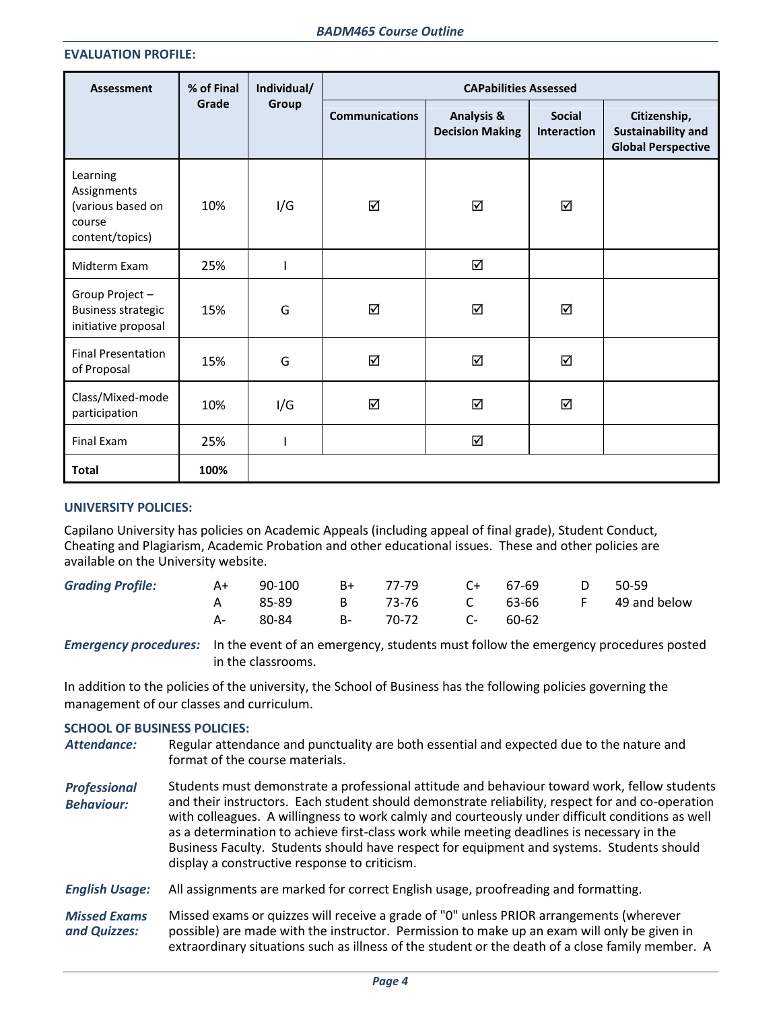#### **EVALUATION PROFILE:**

| <b>Assessment</b>                                                         | % of Final | Individual/ | <b>CAPabilities Assessed</b> |                                                 |                                     |                                                                 |  |
|---------------------------------------------------------------------------|------------|-------------|------------------------------|-------------------------------------------------|-------------------------------------|-----------------------------------------------------------------|--|
|                                                                           | Grade      | Group       | <b>Communications</b>        | <b>Analysis &amp;</b><br><b>Decision Making</b> | <b>Social</b><br><b>Interaction</b> | Citizenship,<br>Sustainability and<br><b>Global Perspective</b> |  |
| Learning<br>Assignments<br>(various based on<br>course<br>content/topics) | 10%        | I/G         | ☑                            | ☑                                               | ☑                                   |                                                                 |  |
| Midterm Exam                                                              | 25%        |             |                              | ☑                                               |                                     |                                                                 |  |
| Group Project-<br><b>Business strategic</b><br>initiative proposal        | 15%        | G           | $\Delta$                     | ☑                                               | ☑                                   |                                                                 |  |
| <b>Final Presentation</b><br>of Proposal                                  | 15%        | G           | ☑                            | ☑                                               | ☑                                   |                                                                 |  |
| Class/Mixed-mode<br>participation                                         | 10%        | I/G         | ☑                            | ☑                                               | ☑                                   |                                                                 |  |
| Final Exam                                                                | 25%        |             |                              | ☑                                               |                                     |                                                                 |  |
| <b>Total</b>                                                              | 100%       |             |                              |                                                 |                                     |                                                                 |  |

#### **UNIVERSITY POLICIES:**

Capilano University has policies on Academic Appeals (including appeal of final grade), Student Conduct, Cheating and Plagiarism, Academic Probation and other educational issues. These and other policies are available on the University website.

| <b>Grading Profile:</b> | $A+$ | 90-100                  | B+ 77-79 C+ 67-69 D 50-59 |  |                                        |
|-------------------------|------|-------------------------|---------------------------|--|----------------------------------------|
|                         |      |                         |                           |  | A 85-89 B 73-76 C 63-66 F 49 and below |
|                         | A-   | 80-84 B- 70-72 C- 60-62 |                           |  |                                        |

*Emergency procedures:* In the event of an emergency, students must follow the emergency procedures posted in the classrooms.

In addition to the policies of the university, the School of Business has the following policies governing the management of our classes and curriculum.

#### **SCHOOL OF BUSINESS POLICIES:**

- *Attendance:* Regular attendance and punctuality are both essential and expected due to the nature and format of the course materials.
- *Professional Behaviour:* Students must demonstrate a professional attitude and behaviour toward work, fellow students and their instructors. Each student should demonstrate reliability, respect for and co-operation with colleagues. A willingness to work calmly and courteously under difficult conditions as well as a determination to achieve first-class work while meeting deadlines is necessary in the Business Faculty. Students should have respect for equipment and systems. Students should display a constructive response to criticism.

*English Usage:* All assignments are marked for correct English usage, proofreading and formatting.

*Missed Exams and Quizzes:* Missed exams or quizzes will receive a grade of "0" unless PRIOR arrangements (wherever possible) are made with the instructor. Permission to make up an exam will only be given in extraordinary situations such as illness of the student or the death of a close family member. A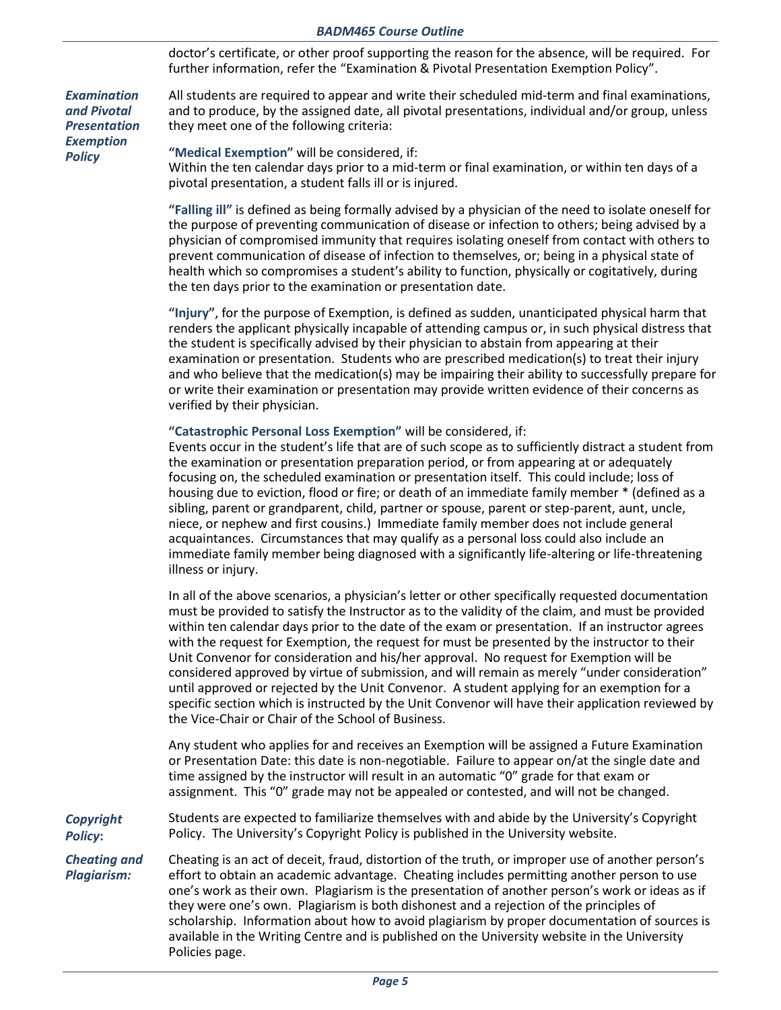doctor's certificate, or other proof supporting the reason for the absence, will be required. For further information, refer the "Examination & Pivotal Presentation Exemption Policy".

*Examination and Pivotal Presentation Exemption Policy*

All students are required to appear and write their scheduled mid-term and final examinations, and to produce, by the assigned date, all pivotal presentations, individual and/or group, unless they meet one of the following criteria:

**"Medical Exemption"** will be considered, if: Within the ten calendar days prior to a mid-term or final examination, or within ten days of a pivotal presentation, a student falls ill or is injured.

**"Falling ill"** is defined as being formally advised by a physician of the need to isolate oneself for the purpose of preventing communication of disease or infection to others; being advised by a physician of compromised immunity that requires isolating oneself from contact with others to prevent communication of disease of infection to themselves, or; being in a physical state of health which so compromises a student's ability to function, physically or cogitatively, during the ten days prior to the examination or presentation date.

**"Injury"**, for the purpose of Exemption, is defined as sudden, unanticipated physical harm that renders the applicant physically incapable of attending campus or, in such physical distress that the student is specifically advised by their physician to abstain from appearing at their examination or presentation. Students who are prescribed medication(s) to treat their injury and who believe that the medication(s) may be impairing their ability to successfully prepare for or write their examination or presentation may provide written evidence of their concerns as verified by their physician.

#### **"Catastrophic Personal Loss Exemption"** will be considered, if:

Events occur in the student's life that are of such scope as to sufficiently distract a student from the examination or presentation preparation period, or from appearing at or adequately focusing on, the scheduled examination or presentation itself. This could include; loss of housing due to eviction, flood or fire; or death of an immediate family member \* (defined as a sibling, parent or grandparent, child, partner or spouse, parent or step-parent, aunt, uncle, niece, or nephew and first cousins.) Immediate family member does not include general acquaintances. Circumstances that may qualify as a personal loss could also include an immediate family member being diagnosed with a significantly life-altering or life-threatening illness or injury.

In all of the above scenarios, a physician's letter or other specifically requested documentation must be provided to satisfy the Instructor as to the validity of the claim, and must be provided within ten calendar days prior to the date of the exam or presentation. If an instructor agrees with the request for Exemption, the request for must be presented by the instructor to their Unit Convenor for consideration and his/her approval. No request for Exemption will be considered approved by virtue of submission, and will remain as merely "under consideration" until approved or rejected by the Unit Convenor. A student applying for an exemption for a specific section which is instructed by the Unit Convenor will have their application reviewed by the Vice-Chair or Chair of the School of Business.

Any student who applies for and receives an Exemption will be assigned a Future Examination or Presentation Date: this date is non-negotiable. Failure to appear on/at the single date and time assigned by the instructor will result in an automatic "0" grade for that exam or assignment. This "0" grade may not be appealed or contested, and will not be changed.

*Copyright Policy***:** Students are expected to familiarize themselves with and abide by the University's Copyright Policy. The University's Copyright Policy is published in the University website.

*Cheating and Plagiarism:* Cheating is an act of deceit, fraud, distortion of the truth, or improper use of another person's effort to obtain an academic advantage. Cheating includes permitting another person to use one's work as their own. Plagiarism is the presentation of another person's work or ideas as if they were one's own. Plagiarism is both dishonest and a rejection of the principles of scholarship. Information about how to avoid plagiarism by proper documentation of sources is available in the Writing Centre and is published on the University website in the University Policies page.